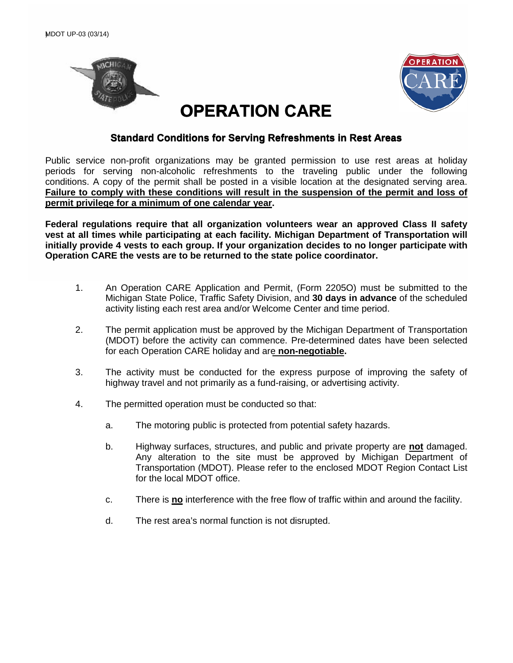



## **OPERATION CARE**

## **STANDA CARE**<br> **Standard Conditions for Serving Refreshments in Rest Areas**

Public service non-profit organizations may be granted permission to use rest areas at holiday periods for serving non-alcoholic refreshments to the traveling public under the following conditions. A copy of the permit shall be posted in a visible location at the designated serving area. **Failure to comply with these conditions will result in the suspension of the permit and loss of permit privilege for a minimum of one calendar year.** 

**Federal regulations require that all organization volunteers wear an approved Class II safety vest at all times while participating at each facility. Michigan Department of Transportation will initially provide 4 vests to each group. If your organization decides to no longer participate with Operation CARE the vests are to be returned to the state police coordinator.**

- 1. An Operation CARE Application and Permit, (Form 2205O) must be submitted to the Michigan State Police, Traffic Safety Division, and **30 days in advance** of the scheduled activity listing each rest area and/or Welcome Center and time period.
- 2. The permit application must be approved by the Michigan Department of Transportation (MDOT) before the activity can commence. Pre-determined dates have been selected for each Operation CARE holiday and are **non-negotiable.**
- 3. The activity must be conducted for the express purpose of improving the safety of highway travel and not primarily as a fund-raising, or advertising activity.
- 4. The permitted operation must be conducted so that:
	- a. The motoring public is protected from potential safety hazards.
	- b. Highway surfaces, structures, and public and private property are **not** damaged. Any alteration to the site must be approved by Michigan Department of Transportation (MDOT). Please refer to the enclosed MDOT Region Contact List for the local MDOT office.
	- c. There is **no** interference with the free flow of traffic within and around the facility.
	- d. The rest area's normal function is not disrupted.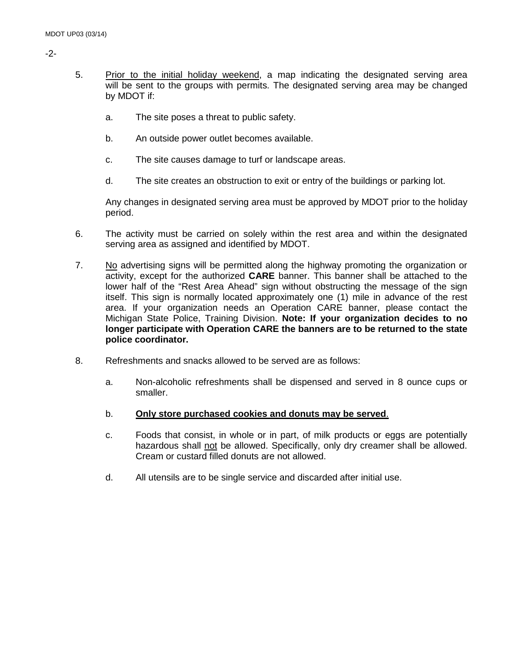- -2-
- 5. Prior to the initial holiday weekend, a map indicating the designated serving area will be sent to the groups with permits. The designated serving area may be changed by MDOT if:
	- a. The site poses a threat to public safety.
	- b. An outside power outlet becomes available.
	- c. The site causes damage to turf or landscape areas.
	- d. The site creates an obstruction to exit or entry of the buildings or parking lot.

Any changes in designated serving area must be approved by MDOT prior to the holiday period.

- 6. The activity must be carried on solely within the rest area and within the designated serving area as assigned and identified by MDOT.
- 7. No advertising signs will be permitted along the highway promoting the organization or activity, except for the authorized **CARE** banner. This banner shall be attached to the lower half of the "Rest Area Ahead" sign without obstructing the message of the sign itself. This sign is normally located approximately one (1) mile in advance of the rest area. If your organization needs an Operation CARE banner, please contact the Michigan State Police, Training Division. **Note: If your organization decides to no longer participate with Operation CARE the banners are to be returned to the state police coordinator.**
- 8. Refreshments and snacks allowed to be served are as follows:
	- a. Non-alcoholic refreshments shall be dispensed and served in 8 ounce cups or smaller.
	- b. **Only store purchased cookies and donuts may be served**.
	- c. Foods that consist, in whole or in part, of milk products or eggs are potentially hazardous shall not be allowed. Specifically, only dry creamer shall be allowed. Cream or custard filled donuts are not allowed.
	- d. All utensils are to be single service and discarded after initial use.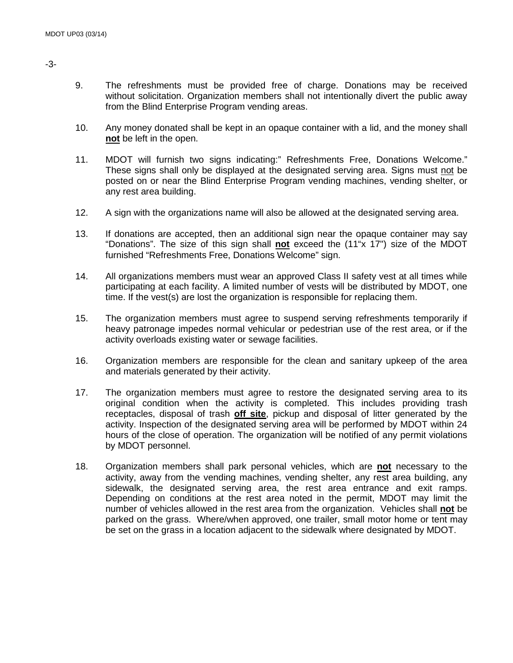- 9. The refreshments must be provided free of charge. Donations may be received without solicitation. Organization members shall not intentionally divert the public away from the Blind Enterprise Program vending areas.
- 10. Any money donated shall be kept in an opaque container with a lid, and the money shall **not** be left in the open.
- 11. MDOT will furnish two signs indicating:" Refreshments Free, Donations Welcome." These signs shall only be displayed at the designated serving area. Signs must not be posted on or near the Blind Enterprise Program vending machines, vending shelter, or any rest area building.
- 12. A sign with the organizations name will also be allowed at the designated serving area.
- 13. If donations are accepted, then an additional sign near the opaque container may say "Donations". The size of this sign shall **not** exceed the (11"x 17") size of the MDOT furnished "Refreshments Free, Donations Welcome" sign.
- 14. All organizations members must wear an approved Class II safety vest at all times while participating at each facility. A limited number of vests will be distributed by MDOT, one time. If the vest(s) are lost the organization is responsible for replacing them.
- 15. The organization members must agree to suspend serving refreshments temporarily if heavy patronage impedes normal vehicular or pedestrian use of the rest area, or if the activity overloads existing water or sewage facilities.
- 16. Organization members are responsible for the clean and sanitary upkeep of the area and materials generated by their activity.
- 17. The organization members must agree to restore the designated serving area to its original condition when the activity is completed. This includes providing trash receptacles, disposal of trash **off site**, pickup and disposal of litter generated by the activity. Inspection of the designated serving area will be performed by MDOT within 24 hours of the close of operation. The organization will be notified of any permit violations by MDOT personnel.
- 18. Organization members shall park personal vehicles, which are **not** necessary to the activity, away from the vending machines, vending shelter, any rest area building, any sidewalk, the designated serving area, the rest area entrance and exit ramps. Depending on conditions at the rest area noted in the permit, MDOT may limit the number of vehicles allowed in the rest area from the organization. Vehicles shall **not** be parked on the grass. Where/when approved, one trailer, small motor home or tent may be set on the grass in a location adjacent to the sidewalk where designated by MDOT.

-3-